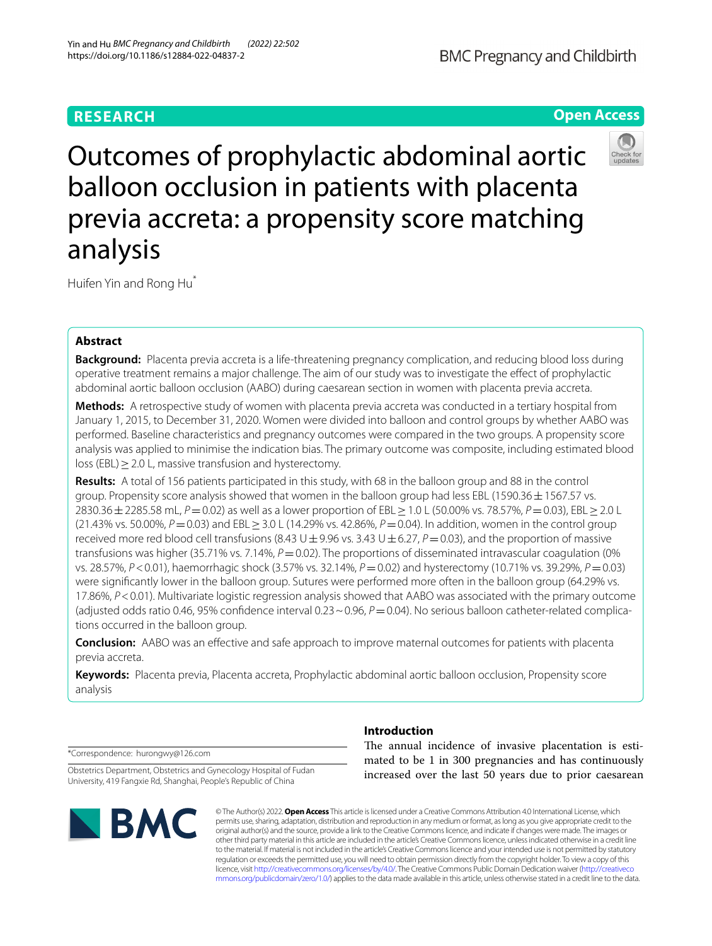# **RESEARCH**

# **Open Access**



Outcomes of prophylactic abdominal aortic balloon occlusion in patients with placenta previa accreta: a propensity score matching analysis

Huifen Yin and Rong Hu\*

# **Abstract**

**Background:** Placenta previa accreta is a life-threatening pregnancy complication, and reducing blood loss during operative treatment remains a major challenge. The aim of our study was to investigate the efect of prophylactic abdominal aortic balloon occlusion (AABO) during caesarean section in women with placenta previa accreta.

**Methods:** A retrospective study of women with placenta previa accreta was conducted in a tertiary hospital from January 1, 2015, to December 31, 2020. Women were divided into balloon and control groups by whether AABO was performed. Baseline characteristics and pregnancy outcomes were compared in the two groups. A propensity score analysis was applied to minimise the indication bias. The primary outcome was composite, including estimated blood loss (EBL)≥2.0 L, massive transfusion and hysterectomy.

**Results:** A total of 156 patients participated in this study, with 68 in the balloon group and 88 in the control group. Propensity score analysis showed that women in the balloon group had less EBL (1590.36  $\pm$  1567.57 vs. 2830.36±2285.58 mL, *P*=0.02) as well as a lower proportion of EBL≥1.0 L (50.00% vs. 78.57%, *P*=0.03), EBL≥2.0 L (21.43% vs. 50.00%, *P*=0.03) and EBL≥3.0 L (14.29% vs. 42.86%, *P*=0.04). In addition, women in the control group received more red blood cell transfusions (8.43  $\cup \pm$  9.96 vs. 3.43  $\cup \pm$  6.27, *P* = 0.03), and the proportion of massive transfusions was higher (35.71% vs. 7.14%,  $P = 0.02$ ). The proportions of disseminated intravascular coagulation (0% vs. 28.57%, *P*<0.01), haemorrhagic shock (3.57% vs. 32.14%, *P*=0.02) and hysterectomy (10.71% vs. 39.29%, *P*=0.03) were signifcantly lower in the balloon group. Sutures were performed more often in the balloon group (64.29% vs. 17.86%, *P*<0.01). Multivariate logistic regression analysis showed that AABO was associated with the primary outcome (adjusted odds ratio 0.46, 95% confdence interval 0.23~0.96, *P*=0.04). No serious balloon catheter-related complications occurred in the balloon group.

**Conclusion:** AABO was an efective and safe approach to improve maternal outcomes for patients with placenta previa accreta.

**Keywords:** Placenta previa, Placenta accreta, Prophylactic abdominal aortic balloon occlusion, Propensity score analysis

\*Correspondence: hurongwy@126.com

Obstetrics Department, Obstetrics and Gynecology Hospital of Fudan University, 419 Fangxie Rd, Shanghai, People's Republic of China



# **Introduction**

The annual incidence of invasive placentation is estimated to be 1 in 300 pregnancies and has continuously increased over the last 50 years due to prior caesarean

© The Author(s) 2022. **Open Access** This article is licensed under a Creative Commons Attribution 4.0 International License, which permits use, sharing, adaptation, distribution and reproduction in any medium or format, as long as you give appropriate credit to the original author(s) and the source, provide a link to the Creative Commons licence, and indicate if changes were made. The images or other third party material in this article are included in the article's Creative Commons licence, unless indicated otherwise in a credit line to the material. If material is not included in the article's Creative Commons licence and your intended use is not permitted by statutory regulation or exceeds the permitted use, you will need to obtain permission directly from the copyright holder. To view a copy of this licence, visit [http://creativecommons.org/licenses/by/4.0/.](http://creativecommons.org/licenses/by/4.0/) The Creative Commons Public Domain Dedication waiver ([http://creativeco](http://creativecommons.org/publicdomain/zero/1.0/) [mmons.org/publicdomain/zero/1.0/](http://creativecommons.org/publicdomain/zero/1.0/)) applies to the data made available in this article, unless otherwise stated in a credit line to the data.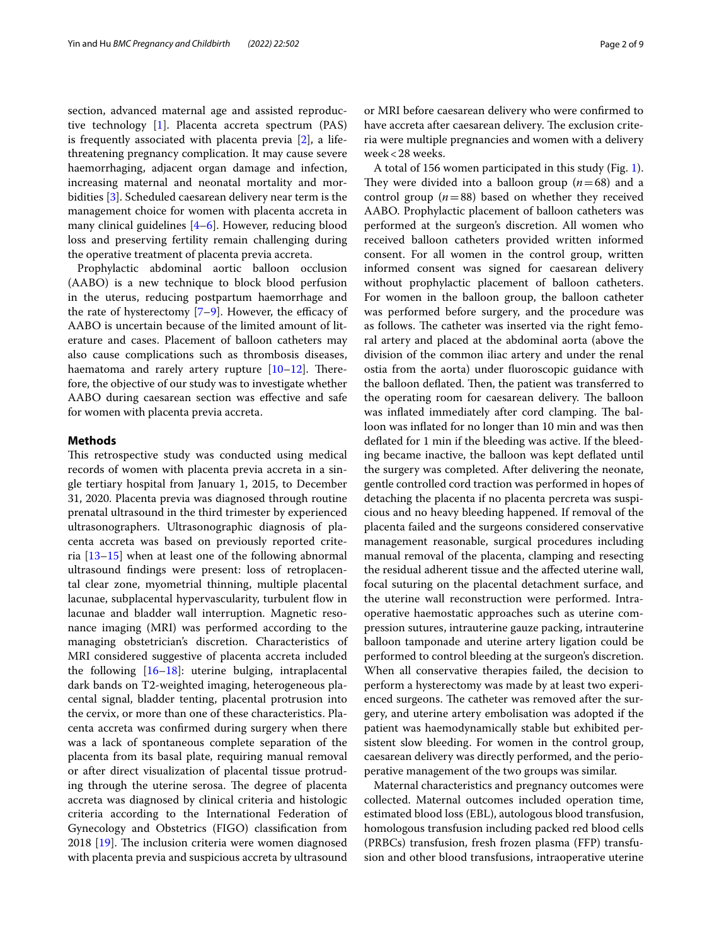section, advanced maternal age and assisted reproductive technology [\[1](#page-7-0)]. Placenta accreta spectrum (PAS) is frequently associated with placenta previa [[2\]](#page-7-1), a lifethreatening pregnancy complication. It may cause severe haemorrhaging, adjacent organ damage and infection, increasing maternal and neonatal mortality and morbidities [\[3\]](#page-7-2). Scheduled caesarean delivery near term is the management choice for women with placenta accreta in many clinical guidelines [\[4](#page-7-3)–[6\]](#page-7-4). However, reducing blood loss and preserving fertility remain challenging during the operative treatment of placenta previa accreta.

Prophylactic abdominal aortic balloon occlusion (AABO) is a new technique to block blood perfusion in the uterus, reducing postpartum haemorrhage and the rate of hysterectomy  $[7-9]$  $[7-9]$ . However, the efficacy of AABO is uncertain because of the limited amount of literature and cases. Placement of balloon catheters may also cause complications such as thrombosis diseases, haematoma and rarely artery rupture  $[10-12]$  $[10-12]$ . Therefore, the objective of our study was to investigate whether AABO during caesarean section was efective and safe for women with placenta previa accreta.

## **Methods**

This retrospective study was conducted using medical records of women with placenta previa accreta in a single tertiary hospital from January 1, 2015, to December 31, 2020. Placenta previa was diagnosed through routine prenatal ultrasound in the third trimester by experienced ultrasonographers. Ultrasonographic diagnosis of placenta accreta was based on previously reported criteria [\[13–](#page-7-9)[15\]](#page-7-10) when at least one of the following abnormal ultrasound fndings were present: loss of retroplacental clear zone, myometrial thinning, multiple placental lacunae, subplacental hypervascularity, turbulent fow in lacunae and bladder wall interruption. Magnetic resonance imaging (MRI) was performed according to the managing obstetrician's discretion. Characteristics of MRI considered suggestive of placenta accreta included the following [[16–](#page-7-11)[18\]](#page-7-12): uterine bulging, intraplacental dark bands on T2-weighted imaging, heterogeneous placental signal, bladder tenting, placental protrusion into the cervix, or more than one of these characteristics. Placenta accreta was confrmed during surgery when there was a lack of spontaneous complete separation of the placenta from its basal plate, requiring manual removal or after direct visualization of placental tissue protruding through the uterine serosa. The degree of placenta accreta was diagnosed by clinical criteria and histologic criteria according to the International Federation of Gynecology and Obstetrics (FIGO) classifcation from 2018  $[19]$  $[19]$ . The inclusion criteria were women diagnosed with placenta previa and suspicious accreta by ultrasound

or MRI before caesarean delivery who were confrmed to have accreta after caesarean delivery. The exclusion criteria were multiple pregnancies and women with a delivery week<28 weeks.

A total of 156 women participated in this study (Fig. [1](#page-2-0)). They were divided into a balloon group  $(n=68)$  and a control group  $(n=88)$  based on whether they received AABO. Prophylactic placement of balloon catheters was performed at the surgeon's discretion. All women who received balloon catheters provided written informed consent. For all women in the control group, written informed consent was signed for caesarean delivery without prophylactic placement of balloon catheters. For women in the balloon group, the balloon catheter was performed before surgery, and the procedure was as follows. The catheter was inserted via the right femoral artery and placed at the abdominal aorta (above the division of the common iliac artery and under the renal ostia from the aorta) under fuoroscopic guidance with the balloon deflated. Then, the patient was transferred to the operating room for caesarean delivery. The balloon was inflated immediately after cord clamping. The balloon was infated for no longer than 10 min and was then defated for 1 min if the bleeding was active. If the bleeding became inactive, the balloon was kept defated until the surgery was completed. After delivering the neonate, gentle controlled cord traction was performed in hopes of detaching the placenta if no placenta percreta was suspicious and no heavy bleeding happened. If removal of the placenta failed and the surgeons considered conservative management reasonable, surgical procedures including manual removal of the placenta, clamping and resecting the residual adherent tissue and the afected uterine wall, focal suturing on the placental detachment surface, and the uterine wall reconstruction were performed. Intraoperative haemostatic approaches such as uterine compression sutures, intrauterine gauze packing, intrauterine balloon tamponade and uterine artery ligation could be performed to control bleeding at the surgeon's discretion. When all conservative therapies failed, the decision to perform a hysterectomy was made by at least two experienced surgeons. The catheter was removed after the surgery, and uterine artery embolisation was adopted if the patient was haemodynamically stable but exhibited persistent slow bleeding. For women in the control group, caesarean delivery was directly performed, and the perioperative management of the two groups was similar.

Maternal characteristics and pregnancy outcomes were collected. Maternal outcomes included operation time, estimated blood loss (EBL), autologous blood transfusion, homologous transfusion including packed red blood cells (PRBCs) transfusion, fresh frozen plasma (FFP) transfusion and other blood transfusions, intraoperative uterine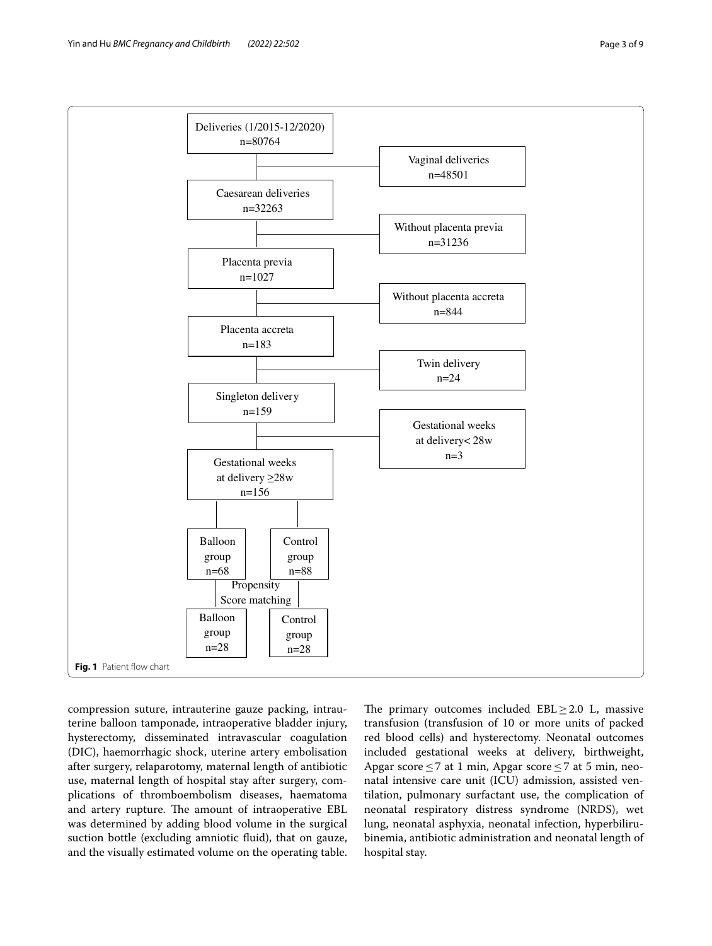

<span id="page-2-0"></span>compression suture, intrauterine gauze packing, intrauterine balloon tamponade, intraoperative bladder injury, hysterectomy, disseminated intravascular coagulation (DIC), haemorrhagic shock, uterine artery embolisation after surgery, relaparotomy, maternal length of antibiotic use, maternal length of hospital stay after surgery, complications of thromboembolism diseases, haematoma and artery rupture. The amount of intraoperative EBL was determined by adding blood volume in the surgical suction bottle (excluding amniotic fuid), that on gauze, and the visually estimated volume on the operating table. The primary outcomes included  $EBL \geq 2.0$  L, massive transfusion (transfusion of 10 or more units of packed red blood cells) and hysterectomy. Neonatal outcomes included gestational weeks at delivery, birthweight, Apgar score  $\leq$  7 at 1 min, Apgar score  $\leq$  7 at 5 min, neonatal intensive care unit (ICU) admission, assisted ventilation, pulmonary surfactant use, the complication of neonatal respiratory distress syndrome (NRDS), wet lung, neonatal asphyxia, neonatal infection, hyperbilirubinemia, antibiotic administration and neonatal length of hospital stay.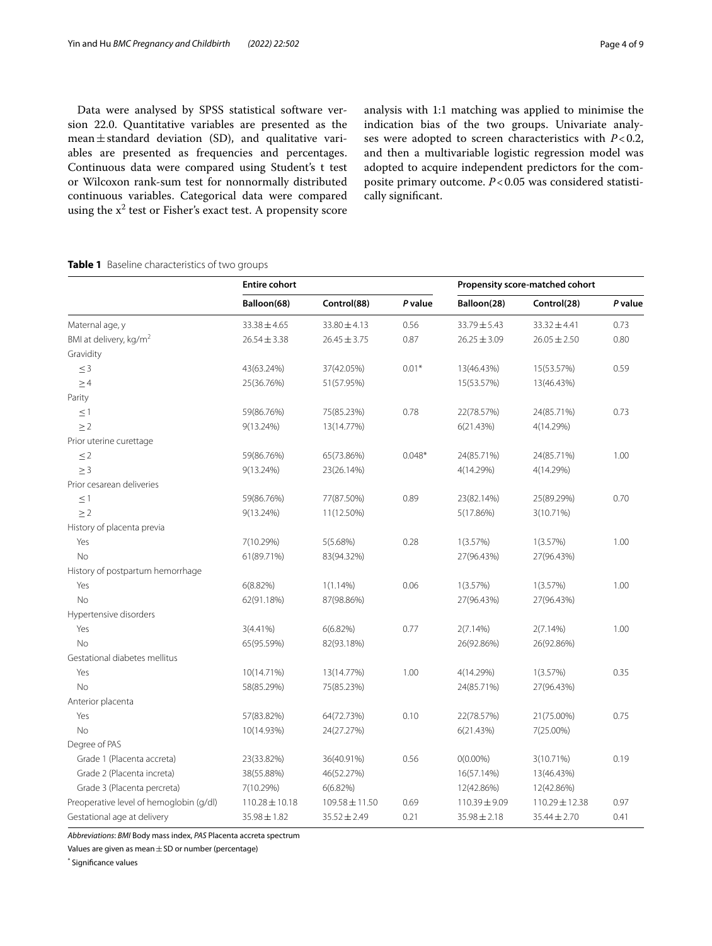Data were analysed by SPSS statistical software version 22.0. Quantitative variables are presented as the mean $\pm$ standard deviation (SD), and qualitative variables are presented as frequencies and percentages. Continuous data were compared using Student's t test or Wilcoxon rank-sum test for nonnormally distributed continuous variables. Categorical data were compared using the  $x^2$  test or Fisher's exact test. A propensity score analysis with 1:1 matching was applied to minimise the indication bias of the two groups. Univariate analyses were adopted to screen characteristics with *P*<0.2, and then a multivariable logistic regression model was adopted to acquire independent predictors for the composite primary outcome. *P*<0.05 was considered statistically signifcant.

# <span id="page-3-0"></span>**Table 1** Baseline characteristics of two groups

|                                         | <b>Entire cohort</b> |                    |          | Propensity score-matched cohort |                    |         |
|-----------------------------------------|----------------------|--------------------|----------|---------------------------------|--------------------|---------|
|                                         | Balloon(68)          | Control(88)        | P value  | Balloon(28)                     | Control(28)        | P value |
| Maternal age, y                         | $33.38 \pm 4.65$     | $33.80 \pm 4.13$   | 0.56     | 33.79±5.43                      | $33.32 \pm 4.41$   | 0.73    |
| BMI at delivery, kg/m <sup>2</sup>      | $26.54 \pm 3.38$     | $26.45 \pm 3.75$   | 0.87     | $26.25 \pm 3.09$                | $26.05 \pm 2.50$   | 0.80    |
| Gravidity                               |                      |                    |          |                                 |                    |         |
| $\leq$ 3                                | 43(63.24%)           | 37(42.05%)         | $0.01*$  | 13(46.43%)                      | 15(53.57%)         | 0.59    |
| $\geq$ 4                                | 25(36.76%)           | 51(57.95%)         |          | 15(53.57%)                      | 13(46.43%)         |         |
| Parity                                  |                      |                    |          |                                 |                    |         |
| $\leq$ 1                                | 59(86.76%)           | 75(85.23%)         | 0.78     | 22(78.57%)                      | 24(85.71%)         | 0.73    |
| $\geq$ 2                                | 9(13.24%)            | 13(14.77%)         |          | 6(21.43%)                       | 4(14.29%)          |         |
| Prior uterine curettage                 |                      |                    |          |                                 |                    |         |
| $\leq$ 2                                | 59(86.76%)           | 65(73.86%)         | $0.048*$ | 24(85.71%)                      | 24(85.71%)         | 1.00    |
| $\geq 3$                                | $9(13.24\%)$         | 23(26.14%)         |          | 4(14.29%)                       | 4(14.29%)          |         |
| Prior cesarean deliveries               |                      |                    |          |                                 |                    |         |
| $\leq$ 1                                | 59(86.76%)           | 77(87.50%)         | 0.89     | 23(82.14%)                      | 25(89.29%)         | 0.70    |
| $\geq$ 2                                | $9(13.24\%)$         | 11(12.50%)         |          | 5(17.86%)                       | 3(10.71%)          |         |
| History of placenta previa              |                      |                    |          |                                 |                    |         |
| Yes                                     | 7(10.29%)            | 5(5.68%)           | 0.28     | 1(3.57%)                        | 1(3.57%)           | 1.00    |
| No                                      | 61(89.71%)           | 83(94.32%)         |          | 27(96.43%)                      | 27(96.43%)         |         |
| History of postpartum hemorrhage        |                      |                    |          |                                 |                    |         |
| Yes                                     | 6(8.82%)             | $1(1.14\%)$        | 0.06     | 1(3.57%)                        | 1(3.57%)           | 1.00    |
| No                                      | 62(91.18%)           | 87(98.86%)         |          | 27(96.43%)                      | 27(96.43%)         |         |
| Hypertensive disorders                  |                      |                    |          |                                 |                    |         |
| Yes                                     | $3(4.41\%)$          | 6(6.82%)           | 0.77     | 2(7.14%)                        | 2(7.14%)           | 1.00    |
| No                                      | 65(95.59%)           | 82(93.18%)         |          | 26(92.86%)                      | 26(92.86%)         |         |
| Gestational diabetes mellitus           |                      |                    |          |                                 |                    |         |
| Yes                                     | 10(14.71%)           | 13(14.77%)         | 1.00     | 4(14.29%)                       | 1(3.57%)           | 0.35    |
| No                                      | 58(85.29%)           | 75(85.23%)         |          | 24(85.71%)                      | 27(96.43%)         |         |
| Anterior placenta                       |                      |                    |          |                                 |                    |         |
| Yes                                     | 57(83.82%)           | 64(72.73%)         | 0.10     | 22(78.57%)                      | 21(75.00%)         | 0.75    |
| No                                      | 10(14.93%)           | 24(27.27%)         |          | 6(21.43%)                       | 7(25.00%)          |         |
| Degree of PAS                           |                      |                    |          |                                 |                    |         |
| Grade 1 (Placenta accreta)              | 23(33.82%)           | 36(40.91%)         | 0.56     | $0(0.00\%)$                     | 3(10.71%)          | 0.19    |
| Grade 2 (Placenta increta)              | 38(55.88%)           | 46(52.27%)         |          | 16(57.14%)                      | 13(46.43%)         |         |
| Grade 3 (Placenta percreta)             | 7(10.29%)            | 6(6.82%)           |          | 12(42.86%)                      | 12(42.86%)         |         |
| Preoperative level of hemoglobin (g/dl) | $110.28 \pm 10.18$   | $109.58 \pm 11.50$ | 0.69     | $110.39 \pm 9.09$               | $110.29 \pm 12.38$ | 0.97    |
| Gestational age at delivery             | $35.98 \pm 1.82$     | $35.52 \pm 2.49$   | 0.21     | $35.98 \pm 2.18$                | 35.44 ± 2.70       | 0.41    |

*Abbreviations*: *BMI* Body mass index, *PAS* Placenta accreta spectrum

Values are given as mean  $\pm$  SD or number (percentage)

\* Signifcance values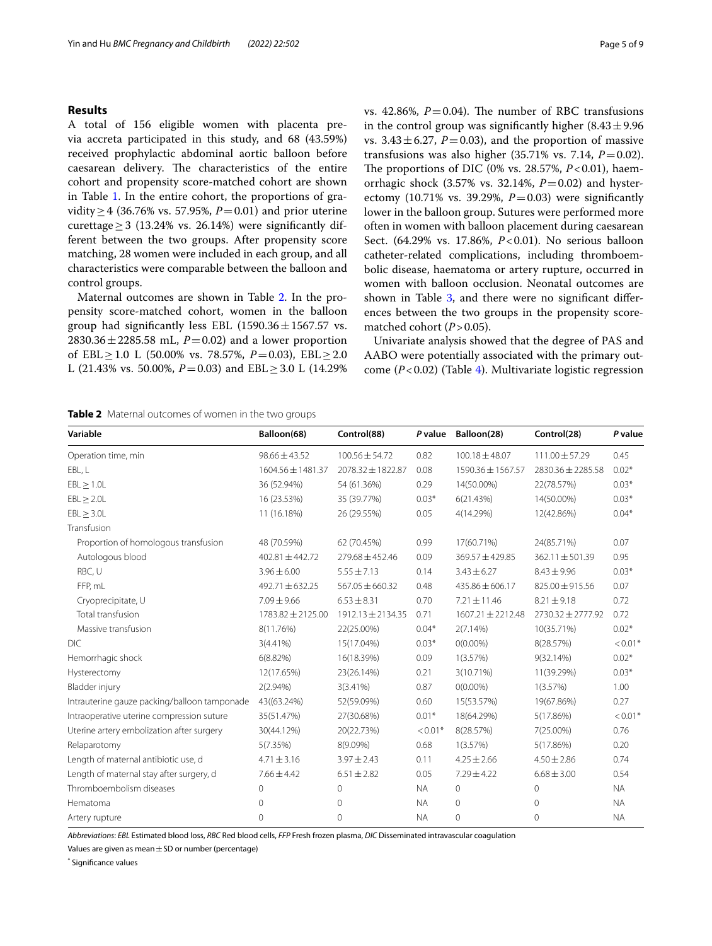# **Results**

A total of 156 eligible women with placenta previa accreta participated in this study, and 68 (43.59%) received prophylactic abdominal aortic balloon before caesarean delivery. The characteristics of the entire cohort and propensity score-matched cohort are shown in Table [1.](#page-3-0) In the entire cohort, the proportions of gravidity≥4 (36.76% vs. 57.95%, *P*=0.01) and prior uterine curettage > 3 (13.24% vs. 26.14%) were significantly different between the two groups. After propensity score matching, 28 women were included in each group, and all characteristics were comparable between the balloon and control groups.

Maternal outcomes are shown in Table [2](#page-4-0). In the propensity score-matched cohort, women in the balloon group had significantly less EBL  $(1590.36 \pm 1567.57 \text{ vs.})$ 2830.36  $\pm$  2285.58 mL, *P* = 0.02) and a lower proportion of EBL≥1.0 L (50.00% vs. 78.57%,  $P = 0.03$ ), EBL≥2.0 L (21.43% vs. 50.00%,  $P = 0.03$ ) and EBL  $\geq 3.0$  L (14.29%) vs. 42.86%,  $P = 0.04$ ). The number of RBC transfusions in the control group was significantly higher  $(8.43 \pm 9.96)$ vs.  $3.43 \pm 6.27$ ,  $P = 0.03$ ), and the proportion of massive transfusions was also higher (35.71% vs. 7.14, *P*=0.02). The proportions of DIC (0% vs. 28.57%,  $P < 0.01$ ), haemorrhagic shock (3.57% vs. 32.14%, *P*=0.02) and hysterectomy (10.71% vs. 39.29%,  $P = 0.03$ ) were significantly lower in the balloon group. Sutures were performed more often in women with balloon placement during caesarean Sect. (64.29% vs. 17.86%, *P*<0.01). No serious balloon catheter-related complications, including thromboembolic disease, haematoma or artery rupture, occurred in women with balloon occlusion. Neonatal outcomes are shown in Table [3,](#page-5-0) and there were no significant differences between the two groups in the propensity scorematched cohort  $(P > 0.05)$ .

Univariate analysis showed that the degree of PAS and AABO were potentially associated with the primary outcome (*P*<0.02) (Table [4\)](#page-6-0). Multivariate logistic regression

<span id="page-4-0"></span>**Table 2** Maternal outcomes of women in the two groups

| Operation time, min                          | $98.66 \pm 43.52$   | $100.56 \pm 54.72$    | 0.82      | $100.18 \pm 48.07$    | $111.00 \pm 57.29$    | 0.45                  |
|----------------------------------------------|---------------------|-----------------------|-----------|-----------------------|-----------------------|-----------------------|
| EBL, L                                       | 1604.56 ± 1481.37   | 2078.32 ± 1822.87     | 0.08      | 1590.36 ± 1567.57     | 2830.36 ± 2285.58     | $0.02*$               |
| $EBL \geq 1.0L$                              | 36 (52.94%)         | 54 (61.36%)           | 0.29      | 14(50.00%)            | 22(78.57%)            | $0.03*$               |
| EBL > 2.0L                                   | 16 (23.53%)         | 35 (39.77%)           | $0.03*$   | 6(21.43%)             | 14(50.00%)            | $0.03*$               |
| EBL > 3.0L                                   | 11 (16.18%)         | 26 (29.55%)           | 0.05      | 4(14.29%)             | 12(42.86%)            | $0.04*$               |
| Transfusion                                  |                     |                       |           |                       |                       |                       |
| Proportion of homologous transfusion         | 48 (70.59%)         | 62 (70.45%)           | 0.99      | 17(60.71%)            | 24(85.71%)            | 0.07                  |
| Autologous blood                             | $402.81 \pm 442.72$ | $279.68 \pm 452.46$   | 0.09      | $369.57 \pm 429.85$   | $362.11 \pm 501.39$   | 0.95                  |
| RBC, U                                       | $3.96 \pm 6.00$     | $5.55 \pm 7.13$       | 0.14      | $3.43 \pm 6.27$       | $8.43 \pm 9.96$       | $0.03*$               |
| FFP, mL                                      | $492.71 \pm 632.25$ | $567.05 \pm 660.32$   | 0.48      | $435.86 \pm 606.17$   | 825.00 ± 915.56       | 0.07                  |
| Cryoprecipitate, U                           | $7.09 \pm 9.66$     | $6.53 \pm 8.31$       | 0.70      | $7.21 \pm 11.46$      | $8.21 \pm 9.18$       | 0.72                  |
| Total transfusion                            | 1783.82 ± 2125.00   | $1912.13 \pm 2134.35$ | 0.71      | $1607.21 \pm 2212.48$ | $2730.32 \pm 2777.92$ | 0.72                  |
| Massive transfusion                          | 8(11.76%)           | 22(25.00%)            | $0.04*$   | $2(7.14\%)$           | 10(35.71%)            | $0.02*$               |
| DIC                                          | $3(4.41\%)$         | 15(17.04%)            | $0.03*$   | $0(0.00\%)$           | 8(28.57%)             | $< 0.01$ <sup>*</sup> |
| Hemorrhagic shock                            | 6(8.82%)            | 16(18.39%)            | 0.09      | 1(3.57%)              | 9(32.14%)             | $0.02*$               |
| Hysterectomy                                 | 12(17.65%)          | 23(26.14%)            | 0.21      | 3(10.71%)             | 11(39.29%)            | $0.03*$               |
| Bladder injury                               | $2(2.94\%)$         | $3(3.41\%)$           | 0.87      | $0(0.00\%)$           | 1(3.57%)              | 1.00                  |
| Intrauterine gauze packing/balloon tamponade | 43((63.24%)         | 52(59.09%)            | 0.60      | 15(53.57%)            | 19(67.86%)            | 0.27                  |
| Intraoperative uterine compression suture    | 35(51.47%)          | 27(30.68%)            | $0.01*$   | 18(64.29%)            | 5(17.86%)             | $< 0.01*$             |
| Uterine artery embolization after surgery    | 30(44.12%)          | 20(22.73%)            | $< 0.01*$ | 8(28.57%)             | 7(25.00%)             | 0.76                  |
| Relaparotomy                                 | 5(7.35%)            | 8(9.09%)              | 0.68      | 1(3.57%)              | 5(17.86%)             | 0.20                  |
| Length of maternal antibiotic use, d         | $4.71 \pm 3.16$     | $3.97 \pm 2.43$       | 0.11      | $4.25 \pm 2.66$       | $4.50 \pm 2.86$       | 0.74                  |
| Length of maternal stay after surgery, d     | $7.66 \pm 4.42$     | $6.51 \pm 2.82$       | 0.05      | $7.29 \pm 4.22$       | $6.68 \pm 3.00$       | 0.54                  |
| Thromboembolism diseases                     | $\Omega$            | $\mathbf{0}$          | <b>NA</b> | $\mathbf{0}$          | $\circ$               | <b>NA</b>             |
| Hematoma                                     | $\Omega$            | $\mathbf{0}$          | <b>NA</b> | $\Omega$              | $\circ$               | <b>NA</b>             |
| Artery rupture                               | 0                   | $\overline{0}$        | <b>NA</b> | 0                     | $\mathbf{0}$          | <b>NA</b>             |

**Variable Balloon(68) Control(88)** *P* **value Balloon(28) Control(28)** *P* **value**

*Abbreviations*: *EBL* Estimated blood loss, *RBC* Red blood cells, *FFP* Fresh frozen plasma, *DIC* Disseminated intravascular coagulation

Values are given as mean  $\pm$  SD or number (percentage)

\* Signifcance values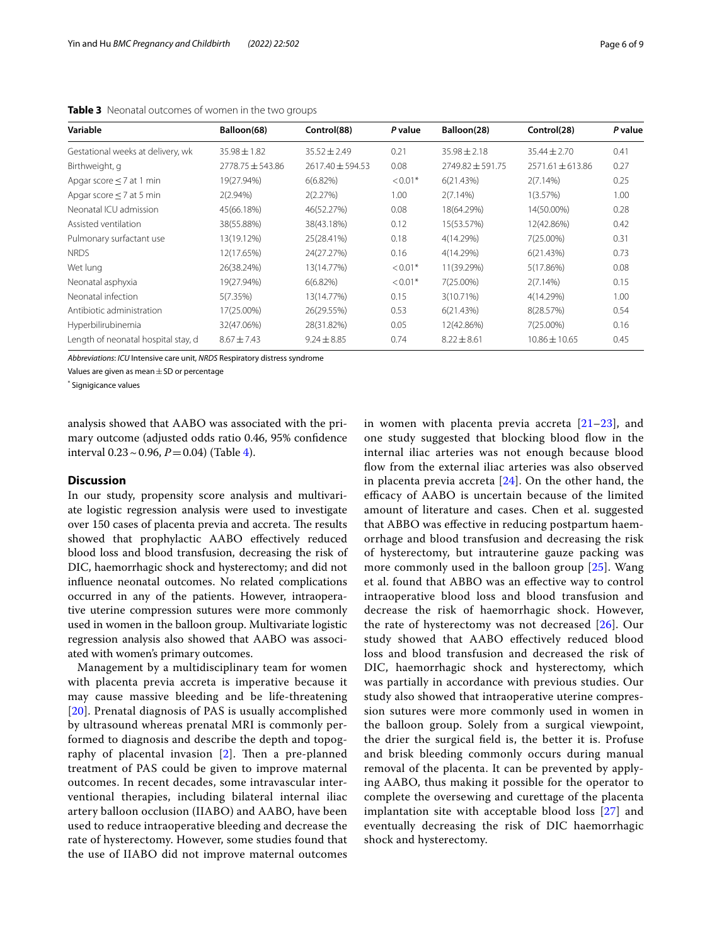| Variable                            | Balloon(68)      | Control(88)          | P value   | Balloon(28)      | Control(28)          | P value |
|-------------------------------------|------------------|----------------------|-----------|------------------|----------------------|---------|
| Gestational weeks at delivery, wk   | $35.98 \pm 1.82$ | $35.52 \pm 2.49$     | 0.21      | $35.98 \pm 2.18$ | $35.44 \pm 2.70$     | 0.41    |
| Birthweight, g                      | 2778.75 ± 543.86 | $2617.40 \pm 594.53$ | 0.08      | 2749.82 ± 591.75 | $2571.61 \pm 613.86$ | 0.27    |
| Apgar score $\leq$ 7 at 1 min       | 19(27.94%)       | 6(6.82%)             | $< 0.01*$ | 6(21.43%)        | $2(7.14\%)$          | 0.25    |
| Apgar score $\leq$ 7 at 5 min       | 2(2.94%)         | 2(2.27%)             | 1.00      | $2(7.14\%)$      | 1(3.57%)             | 1.00    |
| Neonatal ICU admission              | 45(66.18%)       | 46(52.27%)           | 0.08      | 18(64.29%)       | 14(50.00%)           | 0.28    |
| Assisted ventilation                | 38(55.88%)       | 38(43.18%)           | 0.12      | 15(53.57%)       | 12(42.86%)           | 0.42    |
| Pulmonary surfactant use            | 13(19.12%)       | 25(28.41%)           | 0.18      | 4(14.29%)        | 7(25.00%)            | 0.31    |
| <b>NRDS</b>                         | 12(17.65%)       | 24(27.27%)           | 0.16      | 4(14.29%)        | 6(21.43%)            | 0.73    |
| Wet lung                            | 26(38.24%)       | 13(14.77%)           | $< 0.01*$ | 11(39.29%)       | 5(17.86%)            | 0.08    |
| Neonatal asphyxia                   | 19(27.94%)       | $6(6.82\%)$          | $< 0.01*$ | 7(25.00%)        | $2(7.14\%)$          | 0.15    |
| Neonatal infection                  | 5(7.35%)         | 13(14.77%)           | 0.15      | $3(10.71\%)$     | 4(14.29%)            | 1.00    |
| Antibiotic administration           | 17(25.00%)       | 26(29.55%)           | 0.53      | 6(21.43%)        | 8(28.57%)            | 0.54    |
| Hyperbilirubinemia                  | 32(47.06%)       | 28(31.82%)           | 0.05      | 12(42.86%)       | 7(25.00%)            | 0.16    |
| Length of neonatal hospital stay, d | $8.67 \pm 7.43$  | $9.24 \pm 8.85$      | 0.74      | $8.22 \pm 8.61$  | $10.86 \pm 10.65$    | 0.45    |

<span id="page-5-0"></span>**Table 3** Neonatal outcomes of women in the two groups

*Abbreviations*: *ICU* Intensive care unit, *NRDS* Respiratory distress syndrome

Values are given as mean $\pm$  SD or percentage

\* Signigicance values

analysis showed that AABO was associated with the primary outcome (adjusted odds ratio 0.46, 95% confdence interval  $0.23 \sim 0.96$ ,  $P = 0.04$ ) (Table [4](#page-6-0)).

# **Discussion**

In our study, propensity score analysis and multivariate logistic regression analysis were used to investigate over 150 cases of placenta previa and accreta. The results showed that prophylactic AABO efectively reduced blood loss and blood transfusion, decreasing the risk of DIC, haemorrhagic shock and hysterectomy; and did not infuence neonatal outcomes. No related complications occurred in any of the patients. However, intraoperative uterine compression sutures were more commonly used in women in the balloon group. Multivariate logistic regression analysis also showed that AABO was associated with women's primary outcomes.

Management by a multidisciplinary team for women with placenta previa accreta is imperative because it may cause massive bleeding and be life-threatening [[20](#page-8-0)]. Prenatal diagnosis of PAS is usually accomplished by ultrasound whereas prenatal MRI is commonly performed to diagnosis and describe the depth and topography of placental invasion  $[2]$  $[2]$ . Then a pre-planned treatment of PAS could be given to improve maternal outcomes. In recent decades, some intravascular interventional therapies, including bilateral internal iliac artery balloon occlusion (IIABO) and AABO, have been used to reduce intraoperative bleeding and decrease the rate of hysterectomy. However, some studies found that the use of IIABO did not improve maternal outcomes in women with placenta previa accreta  $[21-23]$  $[21-23]$  $[21-23]$ , and one study suggested that blocking blood fow in the internal iliac arteries was not enough because blood flow from the external iliac arteries was also observed in placenta previa accreta [[24\]](#page-8-3). On the other hand, the efficacy of AABO is uncertain because of the limited amount of literature and cases. Chen et al. suggested that ABBO was efective in reducing postpartum haemorrhage and blood transfusion and decreasing the risk of hysterectomy, but intrauterine gauze packing was more commonly used in the balloon group [\[25](#page-8-4)]. Wang et al. found that ABBO was an efective way to control intraoperative blood loss and blood transfusion and decrease the risk of haemorrhagic shock. However, the rate of hysterectomy was not decreased [[26\]](#page-8-5). Our study showed that AABO efectively reduced blood loss and blood transfusion and decreased the risk of DIC, haemorrhagic shock and hysterectomy, which was partially in accordance with previous studies. Our study also showed that intraoperative uterine compression sutures were more commonly used in women in the balloon group. Solely from a surgical viewpoint, the drier the surgical feld is, the better it is. Profuse and brisk bleeding commonly occurs during manual removal of the placenta. It can be prevented by applying AABO, thus making it possible for the operator to complete the oversewing and curettage of the placenta implantation site with acceptable blood loss [\[27\]](#page-8-6) and eventually decreasing the risk of DIC haemorrhagic shock and hysterectomy.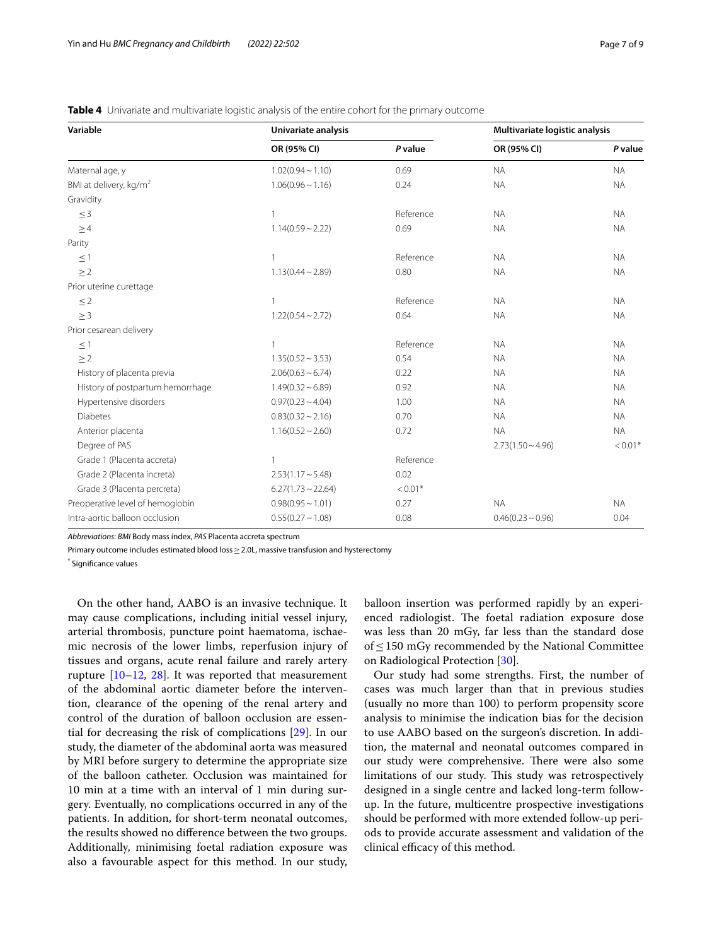| Variable                           | Univariate analysis     |           | Multivariate logistic analysis |           |  |
|------------------------------------|-------------------------|-----------|--------------------------------|-----------|--|
|                                    | OR (95% CI)             | P value   | OR (95% CI)                    | P value   |  |
| Maternal age, y                    | $1.02(0.94 \sim 1.10)$  | 0.69      | <b>NA</b>                      | <b>NA</b> |  |
| BMI at delivery, kg/m <sup>2</sup> | $1.06(0.96 \sim 1.16)$  | 0.24      | <b>NA</b>                      | <b>NA</b> |  |
| Gravidity                          |                         |           |                                |           |  |
| $\leq$ 3                           | $\mathbf{1}$            | Reference | <b>NA</b>                      | <b>NA</b> |  |
| $\geq 4$                           | $1.14(0.59 \sim 2.22)$  | 0.69      | <b>NA</b>                      | <b>NA</b> |  |
| Parity                             |                         |           |                                |           |  |
| $\leq$ 1                           | $\mathbf{1}$            | Reference | <b>NA</b>                      | <b>NA</b> |  |
| $\geq$ 2                           | $1.13(0.44 \sim 2.89)$  | 0.80      | <b>NA</b>                      | <b>NA</b> |  |
| Prior uterine curettage            |                         |           |                                |           |  |
| $\leq$ 2                           | $\mathbf{1}$            | Reference | <b>NA</b>                      | <b>NA</b> |  |
| $\geq$ 3                           | $1.22(0.54 \sim 2.72)$  | 0.64      | <b>NA</b>                      | <b>NA</b> |  |
| Prior cesarean delivery            |                         |           |                                |           |  |
| $\leq$ 1                           | $\mathbf{1}$            | Reference | <b>NA</b>                      | <b>NA</b> |  |
| $\geq$ 2                           | $1.35(0.52 \sim 3.53)$  | 0.54      | <b>NA</b>                      | <b>NA</b> |  |
| History of placenta previa         | $2.06(0.63 \sim 6.74)$  | 0.22      | <b>NA</b>                      | <b>NA</b> |  |
| History of postpartum hemorrhage   | $1.49(0.32 \sim 6.89)$  | 0.92      | <b>NA</b>                      | <b>NA</b> |  |
| Hypertensive disorders             | $0.97(0.23 \sim 4.04)$  | 1.00      | <b>NA</b>                      | <b>NA</b> |  |
| <b>Diabetes</b>                    | $0.83(0.32 \sim 2.16)$  | 0.70      | <b>NA</b>                      | <b>NA</b> |  |
| Anterior placenta                  | $1.16(0.52 \sim 2.60)$  | 0.72      | <b>NA</b>                      | <b>NA</b> |  |
| Degree of PAS                      |                         |           | $2.73(1.50 \sim 4.96)$         | $< 0.01*$ |  |
| Grade 1 (Placenta accreta)         | $\mathbf{1}$            | Reference |                                |           |  |
| Grade 2 (Placenta increta)         | $2.53(1.17 - 5.48)$     | 0.02      |                                |           |  |
| Grade 3 (Placenta percreta)        | $6.27(1.73 \sim 22.64)$ | $< 0.01*$ |                                |           |  |
| Preoperative level of hemoglobin   | $0.98(0.95 \sim 1.01)$  | 0.27      | <b>NA</b>                      | <b>NA</b> |  |
| Intra-aortic balloon occlusion     | $0.55(0.27 \sim 1.08)$  | 0.08      | $0.46(0.23 \sim 0.96)$         | 0.04      |  |

<span id="page-6-0"></span>**Table 4** Univariate and multivariate logistic analysis of the entire cohort for the primary outcome

*Abbreviations*: *BMI* Body mass index, *PAS* Placenta accreta spectrum

Primary outcome includes estimated blood loss ≥ 2.0L, massive transfusion and hysterectomy

\* Signifcance values

On the other hand, AABO is an invasive technique. It may cause complications, including initial vessel injury, arterial thrombosis, puncture point haematoma, ischaemic necrosis of the lower limbs, reperfusion injury of tissues and organs, acute renal failure and rarely artery rupture  $[10-12, 28]$  $[10-12, 28]$  $[10-12, 28]$  $[10-12, 28]$  $[10-12, 28]$ . It was reported that measurement of the abdominal aortic diameter before the intervention, clearance of the opening of the renal artery and control of the duration of balloon occlusion are essential for decreasing the risk of complications [[29](#page-8-8)]. In our study, the diameter of the abdominal aorta was measured by MRI before surgery to determine the appropriate size of the balloon catheter. Occlusion was maintained for 10 min at a time with an interval of 1 min during surgery. Eventually, no complications occurred in any of the patients. In addition, for short-term neonatal outcomes, the results showed no diference between the two groups. Additionally, minimising foetal radiation exposure was also a favourable aspect for this method. In our study, balloon insertion was performed rapidly by an experienced radiologist. The foetal radiation exposure dose was less than 20 mGy, far less than the standard dose of≤150 mGy recommended by the National Committee on Radiological Protection [\[30\]](#page-8-9).

Our study had some strengths. First, the number of cases was much larger than that in previous studies (usually no more than 100) to perform propensity score analysis to minimise the indication bias for the decision to use AABO based on the surgeon's discretion. In addition, the maternal and neonatal outcomes compared in our study were comprehensive. There were also some limitations of our study. This study was retrospectively designed in a single centre and lacked long-term followup. In the future, multicentre prospective investigations should be performed with more extended follow-up periods to provide accurate assessment and validation of the clinical efficacy of this method.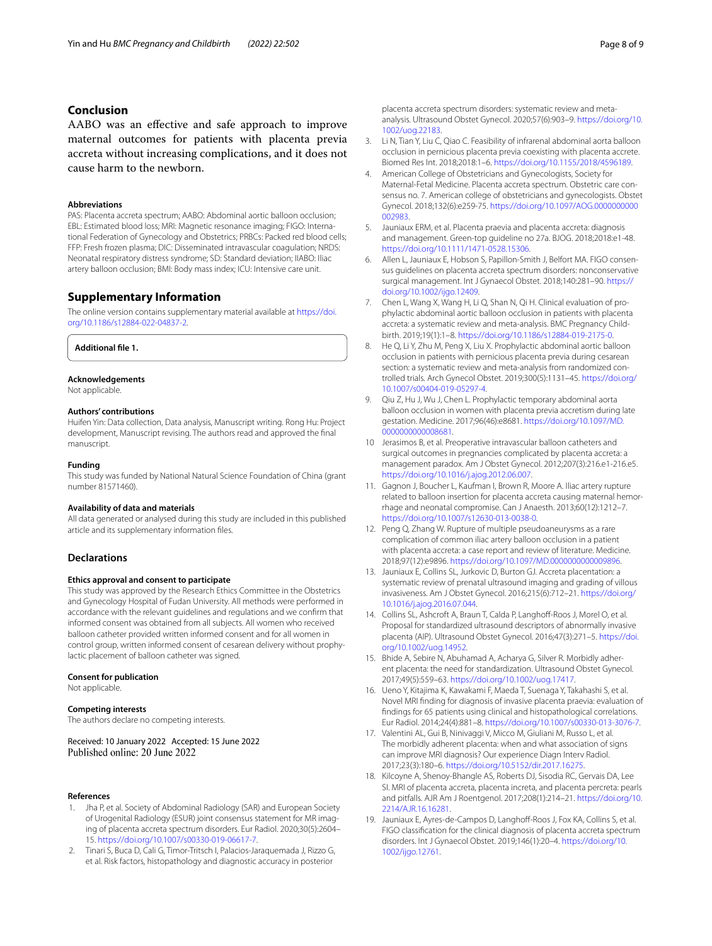# **Conclusion**

AABO was an efective and safe approach to improve maternal outcomes for patients with placenta previa accreta without increasing complications, and it does not cause harm to the newborn.

#### **Abbreviations**

PAS: Placenta accreta spectrum; AABO: Abdominal aortic balloon occlusion; EBL: Estimated blood loss; MRI: Magnetic resonance imaging; FIGO: International Federation of Gynecology and Obstetrics; PRBCs: Packed red blood cells; FFP: Fresh frozen plasma; DIC: Disseminated intravascular coagulation; NRDS: Neonatal respiratory distress syndrome; SD: Standard deviation; IIABO: Iliac artery balloon occlusion; BMI: Body mass index; ICU: Intensive care unit.

# **Supplementary Information**

The online version contains supplementary material available at [https://doi.](https://doi.org/10.1186/s12884-022-04837-2) [org/10.1186/s12884-022-04837-2](https://doi.org/10.1186/s12884-022-04837-2).

**Additional fle 1.**

## **Acknowledgements**

Not applicable.

#### **Authors' contributions**

Huifen Yin: Data collection, Data analysis, Manuscript writing. Rong Hu: Project development, Manuscript revising. The authors read and approved the fnal manuscript.

#### **Funding**

This study was funded by National Natural Science Foundation of China (grant number 81571460).

## **Availability of data and materials**

All data generated or analysed during this study are included in this published article and its supplementary information fles.

## **Declarations**

### **Ethics approval and consent to participate**

This study was approved by the Research Ethics Committee in the Obstetrics and Gynecology Hospital of Fudan University. All methods were performed in accordance with the relevant guidelines and regulations and we confrm that informed consent was obtained from all subjects. All women who received balloon catheter provided written informed consent and for all women in control group, written informed consent of cesarean delivery without prophylactic placement of balloon catheter was signed.

#### **Consent for publication**

Not applicable.

## **Competing interests**

The authors declare no competing interests.

Received: 10 January 2022 Accepted: 15 June 2022 Published online: 20 June 2022

#### **References**

- <span id="page-7-0"></span>1. Jha P, et al. Society of Abdominal Radiology (SAR) and European Society of Urogenital Radiology (ESUR) joint consensus statement for MR imaging of placenta accreta spectrum disorders. Eur Radiol. 2020;30(5):2604– 15. [https://doi.org/10.1007/s00330-019-06617-7.](https://doi.org/10.1007/s00330-019-06617-7)
- <span id="page-7-1"></span>2. Tinari S, Buca D, Cali G, Timor-Tritsch I, Palacios-Jaraquemada J, Rizzo G, et al. Risk factors, histopathology and diagnostic accuracy in posterior
- <span id="page-7-2"></span>3. Li N, Tian Y, Liu C, Qiao C. Feasibility of infrarenal abdominal aorta balloon occlusion in pernicious placenta previa coexisting with placenta accrete. Biomed Res Int. 2018;2018:1–6.<https://doi.org/10.1155/2018/4596189>.
- <span id="page-7-3"></span>4. American College of Obstetricians and Gynecologists, Society for Maternal-Fetal Medicine. Placenta accreta spectrum. Obstetric care consensus no. 7. American college of obstetricians and gynecologists. Obstet Gynecol. 2018;132(6):e259-75. [https://doi.org/10.1097/AOG.0000000000](https://doi.org/10.1097/AOG.0000000000002983) [002983.](https://doi.org/10.1097/AOG.0000000000002983)
- 5. Jauniaux ERM, et al. Placenta praevia and placenta accreta: diagnosis and management. Green-top guideline no 27a. BJOG. 2018;2018:e1-48. [https://doi.org/10.1111/1471-0528.15306.](https://doi.org/10.1111/1471-0528.15306)
- <span id="page-7-4"></span>6. Allen L, Jauniaux E, Hobson S, Papillon-Smith J, Belfort MA. FIGO consensus guidelines on placenta accreta spectrum disorders: nonconservative surgical management. Int J Gynaecol Obstet. 2018;140:281–90. [https://](https://doi.org/10.1002/ijgo.12409) [doi.org/10.1002/ijgo.12409](https://doi.org/10.1002/ijgo.12409).
- <span id="page-7-5"></span>7. Chen L, Wang X, Wang H, Li Q, Shan N, Qi H. Clinical evaluation of prophylactic abdominal aortic balloon occlusion in patients with placenta accreta: a systematic review and meta-analysis. BMC Pregnancy Childbirth. 2019;19(1):1–8.<https://doi.org/10.1186/s12884-019-2175-0>.
- 8. He Q, Li Y, Zhu M, Peng X, Liu X. Prophylactic abdominal aortic balloon occlusion in patients with pernicious placenta previa during cesarean section: a systematic review and meta-analysis from randomized controlled trials. Arch Gynecol Obstet. 2019;300(5):1131–45. [https://doi.org/](https://doi.org/10.1007/s00404-019-05297-4) [10.1007/s00404-019-05297-4](https://doi.org/10.1007/s00404-019-05297-4).
- <span id="page-7-6"></span>9. Qiu Z, Hu J, Wu J, Chen L. Prophylactic temporary abdominal aorta balloon occlusion in women with placenta previa accretism during late gestation. Medicine. 2017;96(46):e8681. [https://doi.org/10.1097/MD.](https://doi.org/10.1097/MD.0000000000008681) [0000000000008681](https://doi.org/10.1097/MD.0000000000008681).
- <span id="page-7-7"></span>10 Jerasimos B, et al. Preoperative intravascular balloon catheters and surgical outcomes in pregnancies complicated by placenta accreta: a management paradox. Am J Obstet Gynecol. 2012;207(3):216.e1-216.e5. <https://doi.org/10.1016/j.ajog.2012.06.007>.
- 11. Gagnon J, Boucher L, Kaufman I, Brown R, Moore A. Iliac artery rupture related to balloon insertion for placenta accreta causing maternal hemorrhage and neonatal compromise. Can J Anaesth. 2013;60(12):1212–7. [https://doi.org/10.1007/s12630-013-0038-0.](https://doi.org/10.1007/s12630-013-0038-0)
- <span id="page-7-8"></span>12. Peng Q, Zhang W. Rupture of multiple pseudoaneurysms as a rare complication of common iliac artery balloon occlusion in a patient with placenta accreta: a case report and review of literature. Medicine. 2018;97(12):e9896. [https://doi.org/10.1097/MD.0000000000009896.](https://doi.org/10.1097/MD.0000000000009896)
- <span id="page-7-9"></span>13. Jauniaux E, Collins SL, Jurkovic D, Burton GJ. Accreta placentation: a systematic review of prenatal ultrasound imaging and grading of villous invasiveness. Am J Obstet Gynecol. 2016;215(6):712–21. [https://doi.org/](https://doi.org/10.1016/j.ajog.2016.07.044) [10.1016/j.ajog.2016.07.044](https://doi.org/10.1016/j.ajog.2016.07.044).
- 14. Collins SL, Ashcroft A, Braun T, Calda P, Langhoff-Roos J, Morel O, et al. Proposal for standardized ultrasound descriptors of abnormally invasive placenta (AIP). Ultrasound Obstet Gynecol. 2016;47(3):271–5. [https://doi.](https://doi.org/10.1002/uog.14952) [org/10.1002/uog.14952](https://doi.org/10.1002/uog.14952).
- <span id="page-7-10"></span>15. Bhide A, Sebire N, Abuhamad A, Acharya G, Silver R. Morbidly adherent placenta: the need for standardization. Ultrasound Obstet Gynecol. 2017;49(5):559–63. <https://doi.org/10.1002/uog.17417>.
- <span id="page-7-11"></span>16. Ueno Y, Kitajima K, Kawakami F, Maeda T, Suenaga Y, Takahashi S, et al. Novel MRI fnding for diagnosis of invasive placenta praevia: evaluation of fndings for 65 patients using clinical and histopathological correlations. Eur Radiol. 2014;24(4):881–8. [https://doi.org/10.1007/s00330-013-3076-7.](https://doi.org/10.1007/s00330-013-3076-7)
- 17. Valentini AL, Gui B, Ninivaggi V, Micco M, Giuliani M, Russo L, et al. The morbidly adherent placenta: when and what association of signs can improve MRI diagnosis? Our experience Diagn Interv Radiol. 2017;23(3):180–6.<https://doi.org/10.5152/dir.2017.16275>.
- <span id="page-7-12"></span>18. Kilcoyne A, Shenoy-Bhangle AS, Roberts DJ, Sisodia RC, Gervais DA, Lee SI. MRI of placenta accreta, placenta increta, and placenta percreta: pearls and pitfalls. AJR Am J Roentgenol. 2017;208(1):214–21. [https://doi.org/10.](https://doi.org/10.2214/AJR.16.16281) [2214/AJR.16.16281](https://doi.org/10.2214/AJR.16.16281).
- <span id="page-7-13"></span>19. Jauniaux E, Ayres-de-Campos D, Langhoff-Roos J, Fox KA, Collins S, et al. FIGO classifcation for the clinical diagnosis of placenta accreta spectrum disorders. Int J Gynaecol Obstet. 2019;146(1):20–4. [https://doi.org/10.](https://doi.org/10.1002/ijgo.12761) [1002/ijgo.12761.](https://doi.org/10.1002/ijgo.12761)